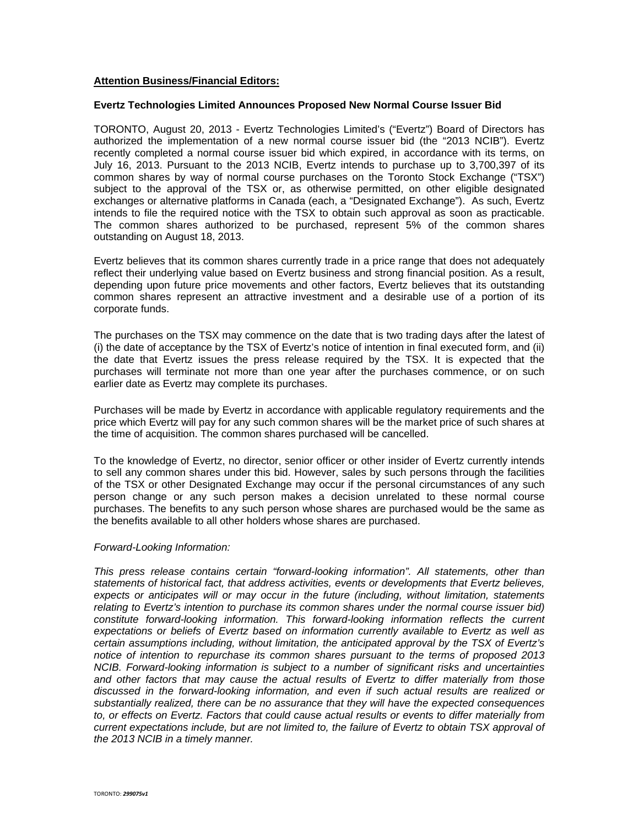## **Attention Business/Financial Editors:**

## **Evertz Technologies Limited Announces Proposed New Normal Course Issuer Bid**

TORONTO, August 20, 2013 - Evertz Technologies Limited's ("Evertz") Board of Directors has authorized the implementation of a new normal course issuer bid (the "2013 NCIB"). Evertz recently completed a normal course issuer bid which expired, in accordance with its terms, on July 16, 2013. Pursuant to the 2013 NCIB, Evertz intends to purchase up to 3,700,397 of its common shares by way of normal course purchases on the Toronto Stock Exchange ("TSX") subject to the approval of the TSX or, as otherwise permitted, on other eligible designated exchanges or alternative platforms in Canada (each, a "Designated Exchange"). As such, Evertz intends to file the required notice with the TSX to obtain such approval as soon as practicable. The common shares authorized to be purchased, represent 5% of the common shares outstanding on August 18, 2013.

Evertz believes that its common shares currently trade in a price range that does not adequately reflect their underlying value based on Evertz business and strong financial position. As a result, depending upon future price movements and other factors, Evertz believes that its outstanding common shares represent an attractive investment and a desirable use of a portion of its corporate funds.

The purchases on the TSX may commence on the date that is two trading days after the latest of (i) the date of acceptance by the TSX of Evertz's notice of intention in final executed form, and (ii) the date that Evertz issues the press release required by the TSX. It is expected that the purchases will terminate not more than one year after the purchases commence, or on such earlier date as Evertz may complete its purchases.

Purchases will be made by Evertz in accordance with applicable regulatory requirements and the price which Evertz will pay for any such common shares will be the market price of such shares at the time of acquisition. The common shares purchased will be cancelled.

To the knowledge of Evertz, no director, senior officer or other insider of Evertz currently intends to sell any common shares under this bid. However, sales by such persons through the facilities of the TSX or other Designated Exchange may occur if the personal circumstances of any such person change or any such person makes a decision unrelated to these normal course purchases. The benefits to any such person whose shares are purchased would be the same as the benefits available to all other holders whose shares are purchased.

## *Forward-Looking Information:*

*This press release contains certain "forward-looking information". All statements, other than statements of historical fact, that address activities, events or developments that Evertz believes, expects or anticipates will or may occur in the future (including, without limitation, statements relating to Evertz's intention to purchase its common shares under the normal course issuer bid) constitute forward-looking information. This forward-looking information reflects the current expectations or beliefs of Evertz based on information currently available to Evertz as well as certain assumptions including, without limitation, the anticipated approval by the TSX of Evertz's notice of intention to repurchase its common shares pursuant to the terms of proposed 2013 NCIB. Forward-looking information is subject to a number of significant risks and uncertainties and other factors that may cause the actual results of Evertz to differ materially from those discussed in the forward-looking information, and even if such actual results are realized or substantially realized, there can be no assurance that they will have the expected consequences to, or effects on Evertz. Factors that could cause actual results or events to differ materially from current expectations include, but are not limited to, the failure of Evertz to obtain TSX approval of the 2013 NCIB in a timely manner.*